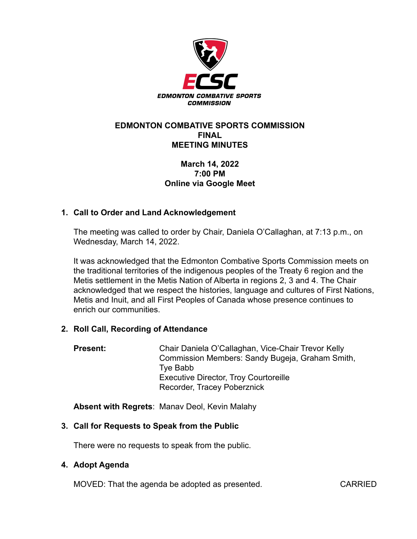

### **EDMONTON COMBATIVE SPORTS COMMISSION FINAL MEETING MINUTES**

# **March 14, 2022 7:00 PM Online via Google Meet**

# **1. Call to Order and Land Acknowledgement**

The meeting was called to order by Chair, Daniela O'Callaghan, at 7:13 p.m., on Wednesday, March 14, 2022.

It was acknowledged that the Edmonton Combative Sports Commission meets on the traditional territories of the indigenous peoples of the Treaty 6 region and the Metis settlement in the Metis Nation of Alberta in regions 2, 3 and 4. The Chair acknowledged that we respect the histories, language and cultures of First Nations, Metis and Inuit, and all First Peoples of Canada whose presence continues to enrich our communities.

#### **2. Roll Call, Recording of Attendance**

**Present:** Chair Daniela O'Callaghan, Vice-Chair Trevor Kelly Commission Members: Sandy Bugeja, Graham Smith, Tye Babb Executive Director, Troy Courtoreille Recorder, Tracey Poberznick

**Absent with Regrets**: Manav Deol, Kevin Malahy

# **3. Call for Requests to Speak from the Public**

There were no requests to speak from the public.

#### **4. Adopt Agenda**

MOVED: That the agenda be adopted as presented. CARRIED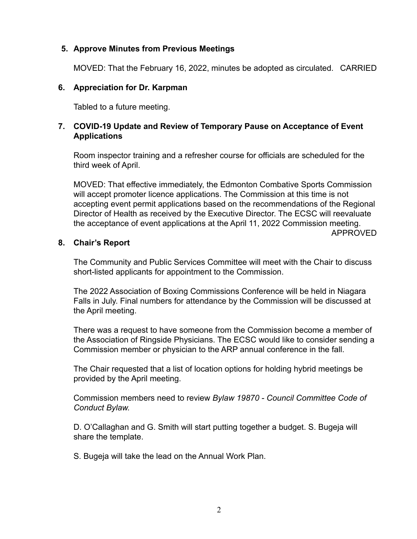### **5. Approve Minutes from Previous Meetings**

MOVED: That the February 16, 2022, minutes be adopted as circulated. CARRIED

### **6. Appreciation for Dr. Karpman**

Tabled to a future meeting.

### **7. COVID-19 Update and Review of Temporary Pause on Acceptance of Event Applications**

Room inspector training and a refresher course for officials are scheduled for the third week of April.

MOVED: That effective immediately, the Edmonton Combative Sports Commission will accept promoter licence applications. The Commission at this time is not accepting event permit applications based on the recommendations of the Regional Director of Health as received by the Executive Director. The ECSC will reevaluate the acceptance of event applications at the April 11, 2022 Commission meeting. APPROVED

#### **8. Chair's Report**

The Community and Public Services Committee will meet with the Chair to discuss short-listed applicants for appointment to the Commission.

The 2022 Association of Boxing Commissions Conference will be held in Niagara Falls in July. Final numbers for attendance by the Commission will be discussed at the April meeting.

There was a request to have someone from the Commission become a member of the Association of Ringside Physicians. The ECSC would like to consider sending a Commission member or physician to the ARP annual conference in the fall.

The Chair requested that a list of location options for holding hybrid meetings be provided by the April meeting.

Commission members need to review *Bylaw 19870 - Council Committee Code of Conduct Bylaw.*

D. O'Callaghan and G. Smith will start putting together a budget. S. Bugeja will share the template.

S. Bugeja will take the lead on the Annual Work Plan.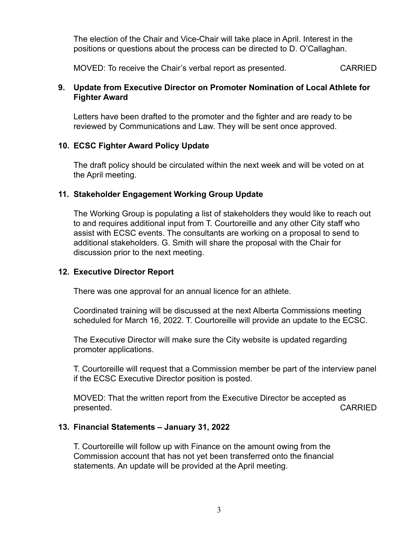The election of the Chair and Vice-Chair will take place in April. Interest in the positions or questions about the process can be directed to D. O'Callaghan.

MOVED: To receive the Chair's verbal report as presented. CARRIED

### **9. Update from Executive Director on Promoter Nomination of Local Athlete for Fighter Award**

Letters have been drafted to the promoter and the fighter and are ready to be reviewed by Communications and Law. They will be sent once approved.

# **10. ECSC Fighter Award Policy Update**

The draft policy should be circulated within the next week and will be voted on at the April meeting.

# **11. Stakeholder Engagement Working Group Update**

The Working Group is populating a list of stakeholders they would like to reach out to and requires additional input from T. Courtoreille and any other City staff who assist with ECSC events. The consultants are working on a proposal to send to additional stakeholders. G. Smith will share the proposal with the Chair for discussion prior to the next meeting.

# **12. Executive Director Report**

There was one approval for an annual licence for an athlete.

Coordinated training will be discussed at the next Alberta Commissions meeting scheduled for March 16, 2022. T. Courtoreille will provide an update to the ECSC.

The Executive Director will make sure the City website is updated regarding promoter applications.

T. Courtoreille will request that a Commission member be part of the interview panel if the ECSC Executive Director position is posted.

MOVED: That the written report from the Executive Director be accepted as presented. The contract of the contract of the contract of the contract of the contract of the contract of the contract of the contract of the contract of the contract of the contract of the contract of the contract of the

# **13. Financial Statements – January 31, 2022**

T. Courtoreille will follow up with Finance on the amount owing from the Commission account that has not yet been transferred onto the financial statements. An update will be provided at the April meeting.